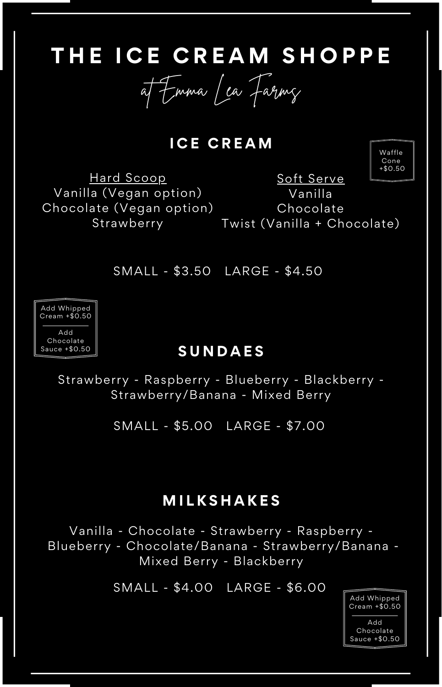## **T H E I C E C R E A M S H O P P E**

at Emma Lea Farms

**I C E C R E A M**

Hard Scoop Vanilla (Vegan option) Chocolate (Vegan option) Strawberry

Soft Serve Vanilla Chocolate

Waffle Cone +\$0.50

Twist (Vanilla + Chocolate)

SMALL - \$3.50 LARGE - \$4.50



#### **S U N D A E S**

Strawberry - Raspberry - Blueberry - Blackberry - Strawberry/Banana - Mixed Berry

SMALL - \$5.00 LARGE - \$7.00

### **M I L K S H A K E S**

Vanilla - Chocolate - Strawberry - Raspberry - Blueberry - Chocolate/Banana - Strawberry/Banana - Mixed Berry - Blackberry

SMALL - \$4.00 LARGE - \$6.00

Add Whipped Cream +\$0.50

Add Chocolate Sauce +\$0.50